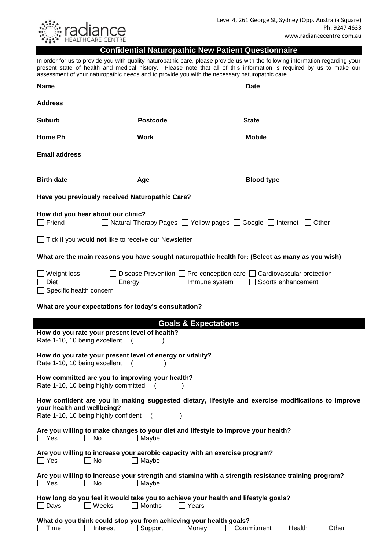

#### **Confidential Naturopathic New Patient Questionnaire**

In order for us to provide you with quality naturopathic care, please provide us with the following information regarding your present state of health and medical history. Please note that all of this information is required by us to make our assessment of your naturopathic needs and to provide you with the necessary naturopathic care.

|                                                                                                                                                                          | aboobbinding indicator indicator included and to provide you with the heceboary naturop                            |                                  |  |  |
|--------------------------------------------------------------------------------------------------------------------------------------------------------------------------|--------------------------------------------------------------------------------------------------------------------|----------------------------------|--|--|
| <b>Name</b>                                                                                                                                                              |                                                                                                                    | Date                             |  |  |
| <b>Address</b>                                                                                                                                                           |                                                                                                                    |                                  |  |  |
| <b>Suburb</b>                                                                                                                                                            | <b>Postcode</b>                                                                                                    | <b>State</b>                     |  |  |
| Home Ph                                                                                                                                                                  | <b>Work</b>                                                                                                        | <b>Mobile</b>                    |  |  |
| <b>Email address</b>                                                                                                                                                     |                                                                                                                    |                                  |  |  |
| <b>Birth date</b>                                                                                                                                                        | Age                                                                                                                | <b>Blood type</b>                |  |  |
| Have you previously received Naturopathic Care?                                                                                                                          |                                                                                                                    |                                  |  |  |
| $\Box$ Friend                                                                                                                                                            | How did you hear about our clinic?<br>Natural Therapy Pages   Yellow pages   Google   Internet   Other             |                                  |  |  |
| $\Box$ Tick if you would not like to receive our Newsletter                                                                                                              |                                                                                                                    |                                  |  |  |
|                                                                                                                                                                          | What are the main reasons you have sought naturopathic health for: (Select as many as you wish)                    |                                  |  |  |
| ∐ Weight loss<br>Diet<br>$\Box$ Specific health concern                                                                                                                  | Disease Prevention $\Box$ Pre-conception care $\Box$ Cardiovascular protection<br>Immune system<br>Energy          | Sports enhancement               |  |  |
| What are your expectations for today's consultation?                                                                                                                     |                                                                                                                    |                                  |  |  |
|                                                                                                                                                                          | <b>Goals &amp; Expectations</b>                                                                                    |                                  |  |  |
| How do you rate your present level of health?<br>Rate 1-10, 10 being excellent                                                                                           |                                                                                                                    |                                  |  |  |
| How do you rate your present level of energy or vitality?<br>Rate 1-10, 10 being excellent                                                                               | $\overline{ }$                                                                                                     |                                  |  |  |
| How committed are you to improving your health?<br>Rate 1-10, 10 being highly committed                                                                                  |                                                                                                                    |                                  |  |  |
| How confident are you in making suggested dietary, lifestyle and exercise modifications to improve<br>your health and wellbeing?<br>Rate 1-10, 10 being highly confident |                                                                                                                    |                                  |  |  |
| Are you willing to make changes to your diet and lifestyle to improve your health?<br>$\Box$ Maybe<br>$\Box$ Yes<br>No                                                   |                                                                                                                    |                                  |  |  |
| $\Box$ Yes<br>$\Box$ No                                                                                                                                                  | Are you willing to increase your aerobic capacity with an exercise program?<br>$\Box$ Maybe                        |                                  |  |  |
| $\Box$ Yes<br>    No                                                                                                                                                     | Are you willing to increase your strength and stamina with a strength resistance training program?<br>$\Box$ Maybe |                                  |  |  |
| Weeks<br>$\Box$ Days<br>$\mathbf{I}$                                                                                                                                     | How long do you feel it would take you to achieve your health and lifestyle goals?<br>Months<br>Years              |                                  |  |  |
| Time<br>Interest                                                                                                                                                         | What do you think could stop you from achieving your health goals?<br>Support<br>Money                             | Commitment<br>Other<br>_l Health |  |  |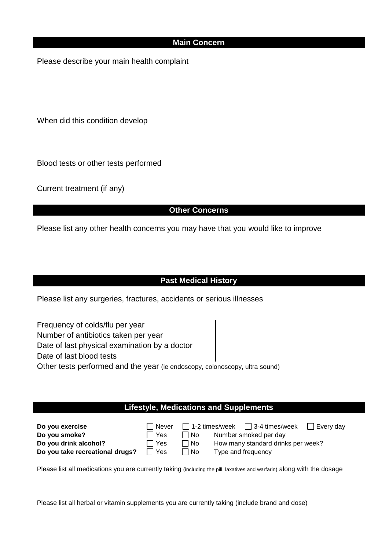### **Main Concern**

Please describe your main health complaint

When did this condition develop

Blood tests or other tests performed

Current treatment (if any)

## **Other Concerns**

Please list any other health concerns you may have that you would like to improve

## **Past Medical History**

Please list any surgeries, fractures, accidents or serious illnesses

Frequency of colds/flu per year Number of antibiotics taken per year Date of last physical examination by a doctor Date of last blood tests Other tests performed and the year (ie endoscopy, colonoscopy, ultra sound)

# **Lifestyle, Medications and Supplements**

| Do you exercise                 | i Never    |             |                    |                                    | l Everv dav |
|---------------------------------|------------|-------------|--------------------|------------------------------------|-------------|
| Do you smoke?                   | l Yes      | l No        |                    | Number smoked per day              |             |
| Do you drink alcohol?           | $\Box$ Yes | ⊟ No        |                    | How many standard drinks per week? |             |
| Do you take recreational drugs? | ∩ Yes      | $\sqcap$ No | Type and frequency |                                    |             |

Please list all medications you are currently taking (including the pill, laxatives and warfarin) along with the dosage

Please list all herbal or vitamin supplements you are currently taking (include brand and dose)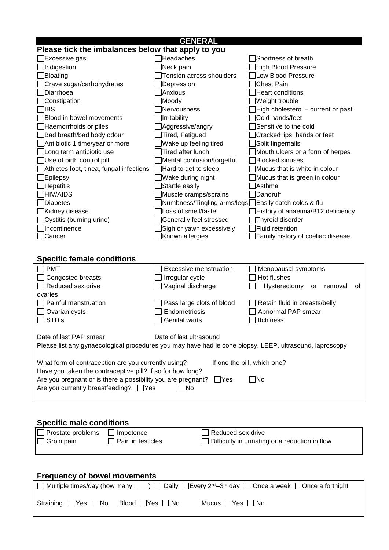| <b>GENERAL</b>                                                                                          |                                                      |                                     |  |  |
|---------------------------------------------------------------------------------------------------------|------------------------------------------------------|-------------------------------------|--|--|
| Please tick the imbalances below that apply to you                                                      |                                                      |                                     |  |  |
| Excessive gas                                                                                           | Headaches                                            | Shortness of breath                 |  |  |
| Indigestion                                                                                             | Neck pain                                            | <b>High Blood Pressure</b>          |  |  |
| Bloating                                                                                                | Tension across shoulders                             | Low Blood Pressure                  |  |  |
| Crave sugar/carbohydrates                                                                               | Depression                                           | <b>Chest Pain</b>                   |  |  |
| Diarrhoea                                                                                               | Anxious                                              | <b>Heart conditions</b>             |  |  |
| Constipation                                                                                            | Moody                                                | Weight trouble                      |  |  |
| libs                                                                                                    | Nervousness                                          | High cholesterol - current or past  |  |  |
| Blood in bowel movements                                                                                | Irritability                                         | Cold hands/feet                     |  |  |
| Haemorrhoids or piles                                                                                   | Aggressive/angry                                     | Sensitive to the cold               |  |  |
| Bad breath/bad body odour                                                                               | Tired, Fatigued                                      | Cracked lips, hands or feet         |  |  |
| Antibiotic 1 time/year or more                                                                          | Wake up feeling tired                                | Split fingernails                   |  |  |
|                                                                                                         | Tired after lunch                                    |                                     |  |  |
| Long term antibiotic use                                                                                |                                                      | Mouth ulcers or a form of herpes    |  |  |
| Use of birth control pill                                                                               | Mental confusion/forgetful                           | <b>Blocked sinuses</b>              |  |  |
| Athletes foot, tinea, fungal infections                                                                 | $\Box$ Hard to get to sleep                          | Mucus that is white in colour       |  |  |
| Epilepsy                                                                                                | Wake during night                                    | Mucus that is green in colour       |  |  |
| Hepatitis                                                                                               | Startle easily                                       | Asthma                              |  |  |
| <b>HIV/AIDS</b>                                                                                         | Muscle cramps/sprains                                | Dandruff                            |  |  |
| <b>Diabetes</b>                                                                                         | Numbness/Tingling arms/legs Easily catch colds & flu |                                     |  |  |
| ]Kidney disease                                                                                         | Loss of smell/taste                                  | History of anaemia/B12 deficiency   |  |  |
| Cystitis (burning urine)                                                                                | Generally feel stressed                              | Thyroid disorder                    |  |  |
| Incontinence                                                                                            | Sigh or yawn excessively                             | Fluid retention                     |  |  |
| □Cancer                                                                                                 | Known allergies                                      | Family history of coeliac disease   |  |  |
|                                                                                                         |                                                      |                                     |  |  |
| <b>Specific female conditions</b>                                                                       |                                                      |                                     |  |  |
| <b>PMT</b>                                                                                              | <b>Excessive menstruation</b>                        |                                     |  |  |
|                                                                                                         |                                                      | Menopausal symptoms<br>Hot flushes  |  |  |
| Congested breasts                                                                                       | Irregular cycle                                      |                                     |  |  |
| Reduced sex drive                                                                                       | Vaginal discharge                                    | Hysterectomy<br>removal<br>or<br>οt |  |  |
| ovaries                                                                                                 |                                                      |                                     |  |  |
| Painful menstruation                                                                                    | Pass large clots of blood                            | Retain fluid in breasts/belly       |  |  |
| Ovarian cysts                                                                                           | Endometriosis                                        | Abnormal PAP smear                  |  |  |
| STD's                                                                                                   | <b>Genital warts</b>                                 | Itchiness                           |  |  |
|                                                                                                         |                                                      |                                     |  |  |
| Date of last PAP smear                                                                                  | Date of last ultrasound                              |                                     |  |  |
| Please list any gynaecological procedures you may have had ie cone biopsy, LEEP, ultrasound, laproscopy |                                                      |                                     |  |  |
|                                                                                                         |                                                      |                                     |  |  |
| What form of contraception are you currently using?                                                     |                                                      | If one the pill, which one?         |  |  |
| Have you taken the contraceptive pill? If so for how long?                                              |                                                      |                                     |  |  |
| Are you pregnant or is there a possibility you are pregnant?<br>$\Box$ No<br>$\Box$ Yes                 |                                                      |                                     |  |  |
| Are you currently breastfeeding?<br>$\Box$ Yes<br>$\Box$ No                                             |                                                      |                                     |  |  |
|                                                                                                         |                                                      |                                     |  |  |
|                                                                                                         |                                                      |                                     |  |  |
|                                                                                                         |                                                      |                                     |  |  |
| <b>Specific male conditions</b>                                                                         |                                                      |                                     |  |  |
|                                                                                                         |                                                      |                                     |  |  |

| $\Box$ Groin pain                   | ⊥ Pain in testicles | Difficulty in urinating or a reduction in flow |  |
|-------------------------------------|---------------------|------------------------------------------------|--|
|                                     |                     |                                                |  |
| <b>Frequency of bowel movements</b> |                     |                                                |  |

| <b>THE READS IN STRIP IS A READ FOR THE PROPERTY</b> |                            |                                                                                                                            |  |
|------------------------------------------------------|----------------------------|----------------------------------------------------------------------------------------------------------------------------|--|
|                                                      |                            | □ Multiple times/day (how many ____) □ Daily □ Every 2 <sup>nd</sup> -3 <sup>rd</sup> day □ Once a week □ Once a fortnight |  |
| Straining $\Box$ Yes $\Box$ No                       | Blood $\Box$ Yes $\Box$ No | Mucus $\Box$ Yes $\Box$ No                                                                                                 |  |